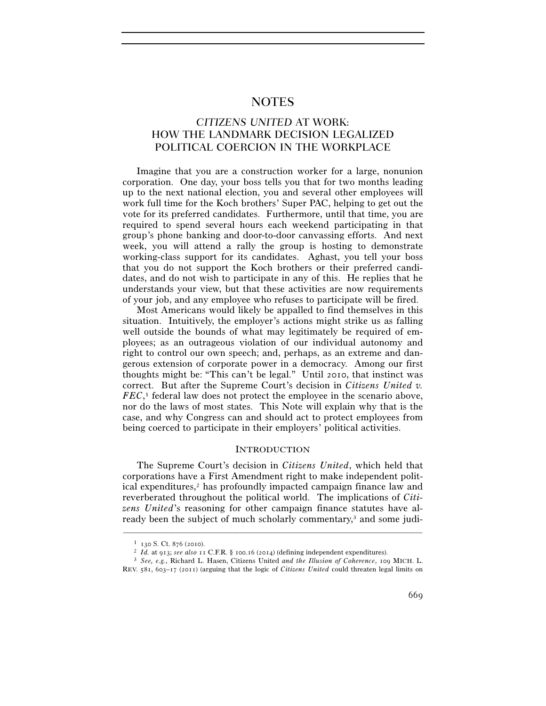# NOTES

# *CITIZENS UNITED* AT WORK: HOW THE LANDMARK DECISION LEGALIZED POLITICAL COERCION IN THE WORKPLACE

Imagine that you are a construction worker for a large, nonunion corporation. One day, your boss tells you that for two months leading up to the next national election, you and several other employees will work full time for the Koch brothers' Super PAC, helping to get out the vote for its preferred candidates. Furthermore, until that time, you are required to spend several hours each weekend participating in that group's phone banking and door-to-door canvassing efforts. And next week, you will attend a rally the group is hosting to demonstrate working-class support for its candidates. Aghast, you tell your boss that you do not support the Koch brothers or their preferred candidates, and do not wish to participate in any of this. He replies that he understands your view, but that these activities are now requirements of your job, and any employee who refuses to participate will be fired.

Most Americans would likely be appalled to find themselves in this situation. Intuitively, the employer's actions might strike us as falling well outside the bounds of what may legitimately be required of employees; as an outrageous violation of our individual autonomy and right to control our own speech; and, perhaps, as an extreme and dangerous extension of corporate power in a democracy. Among our first thoughts might be: "This can't be legal." Until 2010, that instinct was correct. But after the Supreme Court's decision in *Citizens United v. FEC*,<sup>1</sup> federal law does not protect the employee in the scenario above, nor do the laws of most states. This Note will explain why that is the case, and why Congress can and should act to protect employees from being coerced to participate in their employers' political activities.

### **INTRODUCTION**

The Supreme Court's decision in *Citizens United*, which held that corporations have a First Amendment right to make independent political expenditures, $\lambda^2$  has profoundly impacted campaign finance law and reverberated throughout the political world. The implications of *Citizens United*'s reasoning for other campaign finance statutes have already been the subject of much scholarly commentary,<sup>3</sup> and some judi-

<sup>&</sup>lt;sup>1</sup> 130 S. Ct. 876 (2010).<br><sup>2</sup> *Id.* at 913; see also 11 C.F.R. § 100.16 (2014) (defining independent expenditures).<br><sup>3</sup> *See, e.g.*, Richard L. Hasen, Citizens United *and the Illusion of Coherence*, 109 MICH. L.

REV. 581, 603–17 (2011) (arguing that the logic of *Citizens United* could threaten legal limits on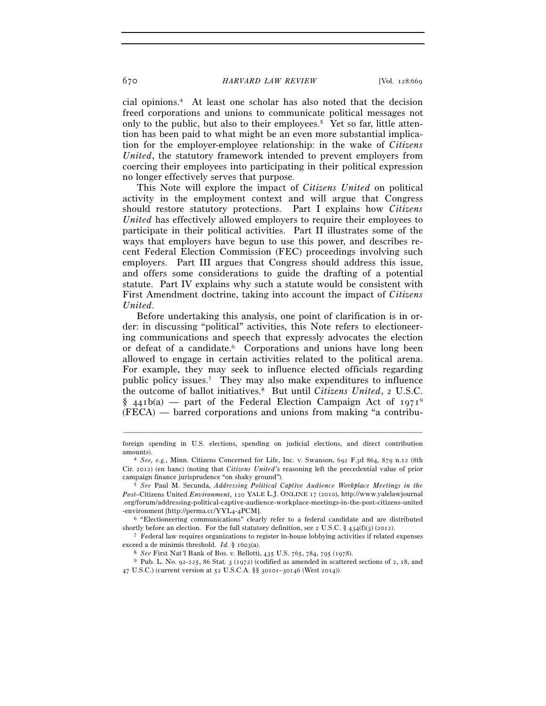cial opinions.4 At least one scholar has also noted that the decision freed corporations and unions to communicate political messages not only to the public, but also to their employees.<sup>5</sup> Yet so far, little attention has been paid to what might be an even more substantial implication for the employer-employee relationship: in the wake of *Citizens United*, the statutory framework intended to prevent employers from coercing their employees into participating in their political expression no longer effectively serves that purpose.

This Note will explore the impact of *Citizens United* on political activity in the employment context and will argue that Congress should restore statutory protections. Part I explains how *Citizens United* has effectively allowed employers to require their employees to participate in their political activities. Part II illustrates some of the ways that employers have begun to use this power, and describes recent Federal Election Commission (FEC) proceedings involving such employers. Part III argues that Congress should address this issue, and offers some considerations to guide the drafting of a potential statute. Part IV explains why such a statute would be consistent with First Amendment doctrine, taking into account the impact of *Citizens United*.

Before undertaking this analysis, one point of clarification is in order: in discussing "political" activities, this Note refers to electioneering communications and speech that expressly advocates the election or defeat of a candidate.6 Corporations and unions have long been allowed to engage in certain activities related to the political arena. For example, they may seek to influence elected officials regarding public policy issues.7 They may also make expenditures to influence the outcome of ballot initiatives.8 But until *Citizens United*, 2 U.S.C.  $\S$  441b(a) — part of the Federal Election Campaign Act of 1971<sup>9</sup> (FECA) — barred corporations and unions from making "a contribu-

<sup>–––––––––––––––––––––––––––––––––––––––––––––––––––––––––––––</sup> foreign spending in U.S. elections, spending on judicial elections, and direct contribution

amounts). 4 *See, e.g.*, Minn. Citizens Concerned for Life, Inc. v. Swanson, 692 F.3d 864, 879 n.12 (8th Cir. 2012) (en banc) (noting that *Citizens United*'s reasoning left the precedential value of prior campaign finance jurisprudence "on shaky ground"). 5 *See* Paul M. Secunda, *Addressing Political Captive Audience Workplace Meetings in the* 

*Post–*Citizens United *Environment*, 120 YALE L.J. ONLINE 17 (2010), http://www.yalelawjournal .org/forum/addressing-political-captive-audience-workplace-meetings-in-the-post-citizens-united -environment [http://perma.cc/YYL4-4PCM]. 6 "Electioneering communications" clearly refer to a federal candidate and are distributed

shortly before an election. For the full statutory definition, see 2 U.S.C. § 434(f)(3) (2012).<br><sup>7</sup> Federal law requires organizations to register in-house lobbying activities if related expenses

exceed a de minimis threshold. *Id.* § 1603(a).<br><sup>8</sup> See First Nat'l Bank of Bos. v. Bellotti, 435 U.S. 765, 784, 795 (1978).<br><sup>9</sup> Pub. L. No. 92-225, 86 Stat. 3 (1972) (codified as amended in scattered sections of 2, 18, a

<sup>47</sup> U.S.C.) (current version at 52 U.S.C.A. §§ 30101–30146 (West 2014)).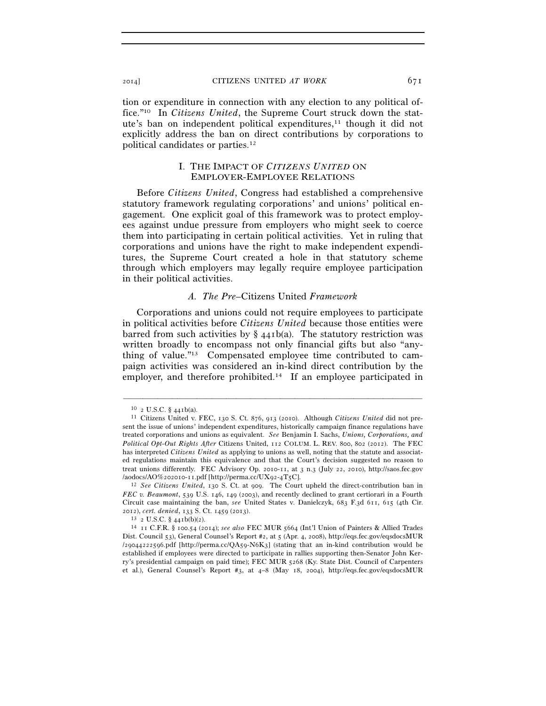tion or expenditure in connection with any election to any political office."10 In *Citizens United*, the Supreme Court struck down the statute's ban on independent political expenditures,11 though it did not explicitly address the ban on direct contributions by corporations to political candidates or parties.12

# I. THE IMPACT OF *CITIZENS UNITED* ON EMPLOYER-EMPLOYEE RELATIONS

Before *Citizens United*, Congress had established a comprehensive statutory framework regulating corporations' and unions' political engagement. One explicit goal of this framework was to protect employees against undue pressure from employers who might seek to coerce them into participating in certain political activities. Yet in ruling that corporations and unions have the right to make independent expenditures, the Supreme Court created a hole in that statutory scheme through which employers may legally require employee participation in their political activities.

#### *A. The Pre–*Citizens United *Framework*

Corporations and unions could not require employees to participate in political activities before *Citizens United* because those entities were barred from such activities by  $\S$  441b(a). The statutory restriction was written broadly to encompass not only financial gifts but also "anything of value."13 Compensated employee time contributed to campaign activities was considered an in-kind direct contribution by the employer, and therefore prohibited.<sup>14</sup> If an employee participated in

<sup>10</sup> <sup>2</sup> U.S.C. § 441b(a). 11 Citizens United v. FEC, 130 S. Ct. 876, 913 (2010). Although *Citizens United* did not present the issue of unions' independent expenditures, historically campaign finance regulations have treated corporations and unions as equivalent. *See* Benjamin I. Sachs, *Unions, Corporations, and Political Opt-Out Rights After* Citizens United, 112 COLUM. L. REV. 800, 802 (2012). The FEC has interpreted *Citizens United* as applying to unions as well, noting that the statute and associated regulations maintain this equivalence and that the Court's decision suggested no reason to treat unions differently. FEC Advisory Op. 2010-11, at 3 n.3 (July 22, 2010), http://saos.fec.gov /aodocs/AO%202010-11.pdf [http://perma.cc/UX92-4T5C]. 12 *See Citizens United*, 130 S. Ct. at 909. The Court upheld the direct-contribution ban in

*FEC v. Beaumont*, 539 U.S. 146, 149 (2003), and recently declined to grant certiorari in a Fourth Circuit case maintaining the ban, *see* United States v. Danielczyk, 683 F.3d 611, 615 (4th Cir.

<sup>2012</sup>), *cert. denied*, 133 S. Ct. 1459 (2013). 13 <sup>2</sup> U.S.C. § 441b(b)(2). 14 <sup>11</sup> C.F.R. § 100.54 (2014); *see also* FEC MUR 5664 (Int'l Union of Painters & Allied Trades Dist. Council 53), General Counsel's Report #2, at 5 (Apr. 4, 2008), http://eqs.fec.gov/eqsdocsMUR /29044222596.pdf [http://perma.cc/QA59-N6K3] (stating that an in-kind contribution would be established if employees were directed to participate in rallies supporting then-Senator John Kerry's presidential campaign on paid time); FEC MUR 5268 (Ky. State Dist. Council of Carpenters et al.), General Counsel's Report #3, at 4–8 (May 18, 2004), http://eqs.fec.gov/eqsdocsMUR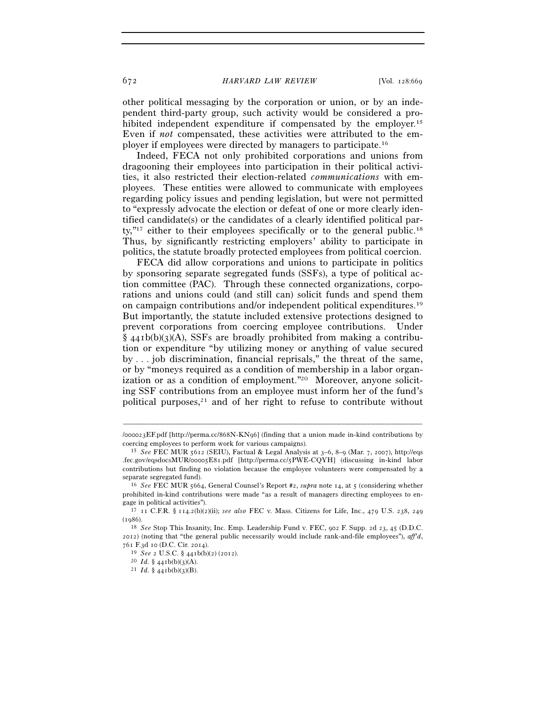672 *HARVARD LAW REVIEW* [Vol. 128:669

other political messaging by the corporation or union, or by an independent third-party group, such activity would be considered a prohibited independent expenditure if compensated by the employer.<sup>15</sup> Even if *not* compensated, these activities were attributed to the employer if employees were directed by managers to participate.16

Indeed, FECA not only prohibited corporations and unions from dragooning their employees into participation in their political activities, it also restricted their election-related *communications* with employees. These entities were allowed to communicate with employees regarding policy issues and pending legislation, but were not permitted to "expressly advocate the election or defeat of one or more clearly identified candidate(s) or the candidates of a clearly identified political party,"<sup>17</sup> either to their employees specifically or to the general public.<sup>18</sup> Thus, by significantly restricting employers' ability to participate in politics, the statute broadly protected employees from political coercion.

FECA did allow corporations and unions to participate in politics by sponsoring separate segregated funds (SSFs), a type of political action committee (PAC). Through these connected organizations, corporations and unions could (and still can) solicit funds and spend them on campaign contributions and/or independent political expenditures.19 But importantly, the statute included extensive protections designed to prevent corporations from coercing employee contributions. Under  $§$  441b(b)(3)(A), SSFs are broadly prohibited from making a contribution or expenditure "by utilizing money or anything of value secured by . . . job discrimination, financial reprisals," the threat of the same, or by "moneys required as a condition of membership in a labor organization or as a condition of employment."20 Moreover, anyone soliciting SSF contributions from an employee must inform her of the fund's political purposes, $21$  and of her right to refuse to contribute without

<sup>–––––––––––––––––––––––––––––––––––––––––––––––––––––––––––––</sup> /000023EF.pdf [http://perma.cc/868N-KN96] (finding that a union made in-kind contributions by

coercing employees to perform work for various campaigns). 15 *See* FEC MUR 5612 (SEIU), Factual & Legal Analysis at 3–6, 8–9 (Mar. 7, 2007), http://eqs .fec.gov/eqsdocsMUR/00005E81.pdf [http://perma.cc/5PWE-CQYH] (discussing in-kind labor contributions but finding no violation because the employee volunteers were compensated by a separate segregated fund). 16 *See* FEC MUR 5664, General Counsel's Report #2, *supra* note 14, at 5 (considering whether

prohibited in-kind contributions were made "as a result of managers directing employees to engage in political activities"). 17 <sup>11</sup> C.F.R. § 114.2(b)(2)(ii); *see also* FEC v. Mass. Citizens for Life, Inc., 479 U.S. 238, <sup>249</sup>

<sup>(</sup>1986). 18 *See* Stop This Insanity, Inc. Emp. Leadership Fund v. FEC, 902 F. Supp. 2d 23, 45 (D.D.C. 2012) (noting that "the general public necessarily would include rank-and-file employees"), *aff'd*, <sup>761</sup> F.3d 10 (D.C. Cir. 2014). 19 *See* <sup>2</sup> U.S.C. § 441b(b)(2) (2012). 20 *Id.* § 441b(b)(3)(A). 21 *Id.* § 441b(b)(3)(B).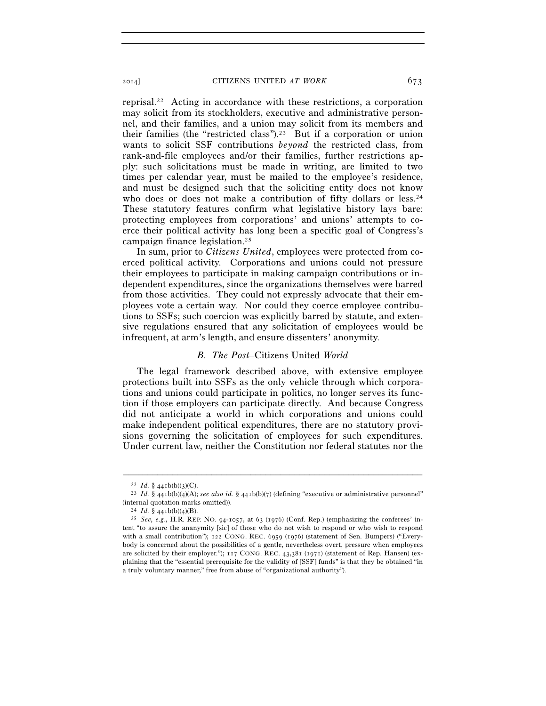reprisal.22 Acting in accordance with these restrictions, a corporation may solicit from its stockholders, executive and administrative personnel, and their families, and a union may solicit from its members and their families (the "restricted class").23 But if a corporation or union wants to solicit SSF contributions *beyond* the restricted class, from rank-and-file employees and/or their families, further restrictions apply: such solicitations must be made in writing, are limited to two times per calendar year, must be mailed to the employee's residence, and must be designed such that the soliciting entity does not know who does or does not make a contribution of fifty dollars or less.<sup>24</sup> These statutory features confirm what legislative history lays bare: protecting employees from corporations' and unions' attempts to coerce their political activity has long been a specific goal of Congress's campaign finance legislation.25

In sum, prior to *Citizens United*, employees were protected from coerced political activity. Corporations and unions could not pressure their employees to participate in making campaign contributions or independent expenditures, since the organizations themselves were barred from those activities. They could not expressly advocate that their employees vote a certain way. Nor could they coerce employee contributions to SSFs; such coercion was explicitly barred by statute, and extensive regulations ensured that any solicitation of employees would be infrequent, at arm's length, and ensure dissenters' anonymity.

#### *B. The Post–*Citizens United *World*

The legal framework described above, with extensive employee protections built into SSFs as the only vehicle through which corporations and unions could participate in politics, no longer serves its function if those employers can participate directly. And because Congress did not anticipate a world in which corporations and unions could make independent political expenditures, there are no statutory provisions governing the solicitation of employees for such expenditures. Under current law, neither the Constitution nor federal statutes nor the

<sup>22</sup> *Id.* § 441b(b)(3)(C). 23 *Id.* § 441b(b)(4)(A); *see also id.* § 441b(b)(7) (defining "executive or administrative personnel"

<sup>(</sup>internal quotation marks omitted)).<br><sup>24</sup> *Id.* § 441b(b)(4)(B).<br><sup>25</sup> *See, e.g.*, H.R. REP. NO. 94-1057, at 63 (1976) (Conf. Rep.) (emphasizing the conferees' intent "to assure the ananymity [sic] of those who do not wish to respond or who wish to respond with a small contribution"); 122 CONG. REC. 6959 (1976) (statement of Sen. Bumpers) ("Everybody is concerned about the possibilities of a gentle, nevertheless overt, pressure when employees are solicited by their employer."); 117 CONG. REC. 43,381 (1971) (statement of Rep. Hansen) (explaining that the "essential prerequisite for the validity of [SSF] funds" is that they be obtained "in a truly voluntary manner," free from abuse of "organizational authority").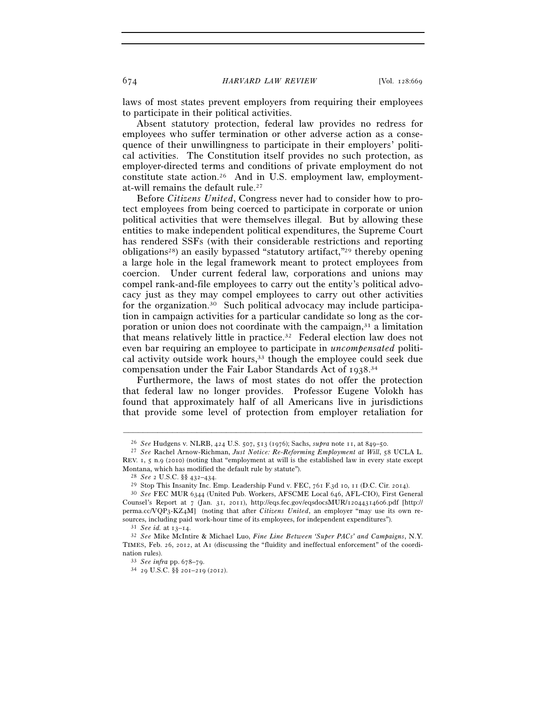laws of most states prevent employers from requiring their employees to participate in their political activities.

Absent statutory protection, federal law provides no redress for employees who suffer termination or other adverse action as a consequence of their unwillingness to participate in their employers' political activities. The Constitution itself provides no such protection, as employer-directed terms and conditions of private employment do not constitute state action.26 And in U.S. employment law, employmentat-will remains the default rule.27

Before *Citizens United*, Congress never had to consider how to protect employees from being coerced to participate in corporate or union political activities that were themselves illegal. But by allowing these entities to make independent political expenditures, the Supreme Court has rendered SSFs (with their considerable restrictions and reporting obligations28) an easily bypassed "statutory artifact,"29 thereby opening a large hole in the legal framework meant to protect employees from coercion. Under current federal law, corporations and unions may compel rank-and-file employees to carry out the entity's political advocacy just as they may compel employees to carry out other activities for the organization.30 Such political advocacy may include participation in campaign activities for a particular candidate so long as the corporation or union does not coordinate with the campaign,  $3<sup>1</sup>$  a limitation that means relatively little in practice.32 Federal election law does not even bar requiring an employee to participate in *uncompensated* political activity outside work hours,33 though the employee could seek due compensation under the Fair Labor Standards Act of 1938. 34

Furthermore, the laws of most states do not offer the protection that federal law no longer provides. Professor Eugene Volokh has found that approximately half of all Americans live in jurisdictions that provide some level of protection from employer retaliation for

<sup>26</sup> *See* Hudgens v. NLRB, 424 U.S. 507, 513 (1976); Sachs, *supra* note 11, at 849–50. 27 *See* Rachel Arnow-Richman, *Just Notice: Re-Reforming Employment at Will*, 58 UCLA L.

REV. 1, 5 n.9 (2010) (noting that "employment at will is the established law in every state except Montana, which has modified the default rule by statute").

<sup>&</sup>lt;sup>28</sup> See 2 U.S.C. §§ 432–434.<br><sup>29</sup> Stop This Insanity Inc. Emp. Leadership Fund v. FEC, 761 F.3d 10, 11 (D.C. Cir. 2014).<br><sup>30</sup> See FEC MUR 6344 (United Pub. Workers, AFSCME Local 646, AFL-CIO), First General

Counsel's Report at 7 (Jan. 31, 2011), http://eqs.fec.gov/eqsdocsMUR/12044314606.pdf [http:// perma.cc/VQP3-KZ4M] (noting that after *Citizens United*, an employer "may use its own resources, including paid work-hour time of its employees, for independent expenditures"). 31 *See id.* at 13–14. 32 *See* Mike McIntire & Michael Luo, *Fine Line Between 'Super PACs' and Campaigns*, N.Y.

TIMES, Feb. 26, 2012, at A1 (discussing the "fluidity and ineffectual enforcement" of the coordi-

nation rules). 33 *See infra* pp. 678–79. 34 <sup>29</sup> U.S.C. §§ 201–219 (2012).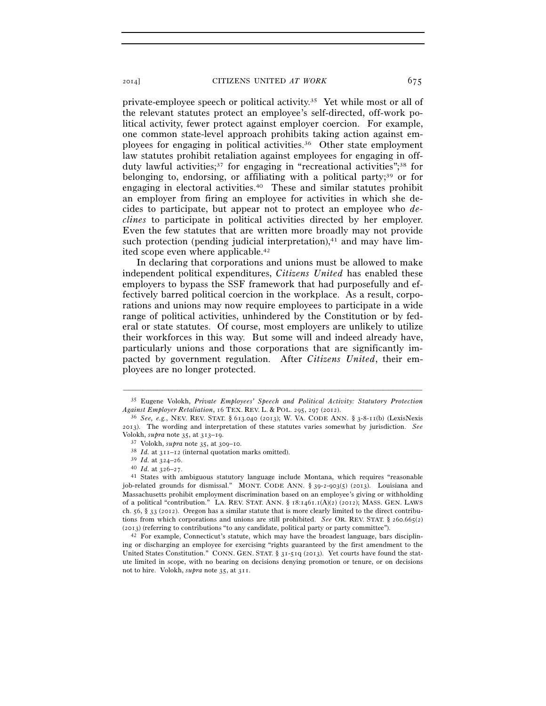private-employee speech or political activity.35 Yet while most or all of the relevant statutes protect an employee's self-directed, off-work political activity, fewer protect against employer coercion. For example, one common state-level approach prohibits taking action against employees for engaging in political activities.36 Other state employment law statutes prohibit retaliation against employees for engaging in offduty lawful activities;<sup>37</sup> for engaging in "recreational activities";<sup>38</sup> for belonging to, endorsing, or affiliating with a political party; $39$  or for engaging in electoral activities.40 These and similar statutes prohibit an employer from firing an employee for activities in which she decides to participate, but appear not to protect an employee who *declines* to participate in political activities directed by her employer. Even the few statutes that are written more broadly may not provide such protection (pending judicial interpretation), $41$  and may have limited scope even where applicable.<sup>42</sup>

In declaring that corporations and unions must be allowed to make independent political expenditures, *Citizens United* has enabled these employers to bypass the SSF framework that had purposefully and effectively barred political coercion in the workplace. As a result, corporations and unions may now require employees to participate in a wide range of political activities, unhindered by the Constitution or by federal or state statutes. Of course, most employers are unlikely to utilize their workforces in this way. But some will and indeed already have, particularly unions and those corporations that are significantly impacted by government regulation. After *Citizens United*, their employees are no longer protected.

<sup>–––––––––––––––––––––––––––––––––––––––––––––––––––––––––––––</sup> 35 Eugene Volokh, *Private Employees' Speech and Political Activity: Statutory Protection Against Employer Retaliation*, 16 TEX. REV. L. & POL. 295, 297 (2012). 36 *See, e.g.*, NEV. REV. STAT. § 613.040 (2013); W. VA. CODE ANN. § 3-8-11(b) (LexisNexis

<sup>2013</sup>). The wording and interpretation of these statutes varies somewhat by jurisdiction. *See* Volokh, *supra* note 35, at 313–19.<br><sup>37</sup> Volokh, *supra* note 35, at 309–10.<br><sup>38</sup> *Id.* at 311–12 (internal quotation marks omitted).<br><sup>39</sup> *Id.* at 324–26.<br><sup>40</sup> *Id.* at 326–27.<br><sup>41</sup> States with ambiguous statutory langua

job-related grounds for dismissal." MONT. CODE ANN. § 39-2-903(5) (2013). Louisiana and Massachusetts prohibit employment discrimination based on an employee's giving or withholding of a political "contribution." LA. REV. STAT. ANN. § 18:1461.1(A)(2) (2012); MASS. GEN. LAWS ch. 56, § 33 (2012). Oregon has a similar statute that is more clearly limited to the direct contributions from which corporations and unions are still prohibited. *See* OR. REV. STAT. § 260.665(2) (2013) (referring to contributions "to any candidate, political party or party committee").

 $42$  For example, Connecticut's statute, which may have the broadest language, bars disciplining or discharging an employee for exercising "rights guaranteed by the first amendment to the United States Constitution." CONN. GEN. STAT. § 31-51q (2013). Yet courts have found the statute limited in scope, with no bearing on decisions denying promotion or tenure, or on decisions not to hire. Volokh, *supra* note 35, at 311.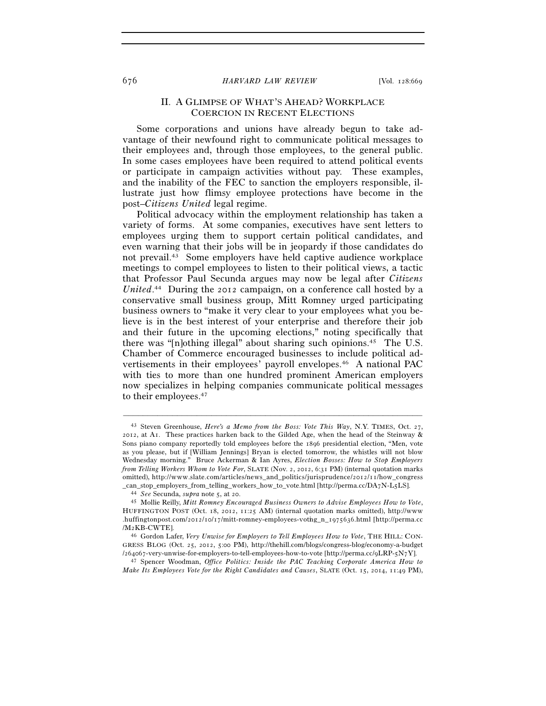# II. A GLIMPSE OF WHAT'S AHEAD? WORKPLACE COERCION IN RECENT ELECTIONS

Some corporations and unions have already begun to take advantage of their newfound right to communicate political messages to their employees and, through those employees, to the general public. In some cases employees have been required to attend political events or participate in campaign activities without pay. These examples, and the inability of the FEC to sanction the employers responsible, illustrate just how flimsy employee protections have become in the post–*Citizens United* legal regime.

Political advocacy within the employment relationship has taken a variety of forms. At some companies, executives have sent letters to employees urging them to support certain political candidates, and even warning that their jobs will be in jeopardy if those candidates do not prevail.43 Some employers have held captive audience workplace meetings to compel employees to listen to their political views, a tactic that Professor Paul Secunda argues may now be legal after *Citizens United*. 44 During the 2012 campaign, on a conference call hosted by a conservative small business group, Mitt Romney urged participating business owners to "make it very clear to your employees what you believe is in the best interest of your enterprise and therefore their job and their future in the upcoming elections," noting specifically that there was "[n]othing illegal" about sharing such opinions.45 The U.S. Chamber of Commerce encouraged businesses to include political advertisements in their employees' payroll envelopes.46 A national PAC with ties to more than one hundred prominent American employers now specializes in helping companies communicate political messages to their employees.47

<sup>43</sup> Steven Greenhouse, *Here's a Memo from the Boss: Vote This Way*, N.Y. TIMES, Oct. 27, 2012, at A1. These practices harken back to the Gilded Age, when the head of the Steinway & Sons piano company reportedly told employees before the 1896 presidential election, "Men, vote as you please, but if [William Jennings] Bryan is elected tomorrow, the whistles will not blow Wednesday morning." Bruce Ackerman & Ian Ayres, *Election Bosses: How to Stop Employers from Telling Workers Whom to Vote For*, SLATE (Nov. 2, 2012, 6:31 PM) (internal quotation marks omitted), http://www.slate.com/articles/news\_and\_politics/jurisprudence/2012/11/how\_congress can\_stop\_employers\_from\_telling\_workers\_how\_to\_vote.html [http://perma.cc/DA7N-L5LS].<br><sup>44</sup> See Secunda, *supra* note 5, at 20.<br><sup>45</sup> Mollie Reilly, *Mitt Romney Encouraged Business Owners to Advise Employees How to Vote*,

HUFFINGTON POST (Oct. 18, 2012, 11:25 AM) (internal quotation marks omitted), http://www .huffingtonpost.com/2012/10/17/mitt-romney-employees-voting\_n\_1975636.html [http://perma.cc /M2KB-CWTE].

<sup>46</sup> Gordon Lafer, *Very Unwise for Employers to Tell Employees How to Vote*, THE HILL: CON-GRESS BLOG (Oct. 25, 2012, 5:00 PM), http://thehill.com/blogs/congress-blog/economy-a-budget<br> $/264067$ -very-unwise-for-employers-to-tell-employees-how-to-vote [http://perma.cc/9LRP-5N7Y].

<sup>&</sup>lt;sup>47</sup> Spencer Woodman, Office Politics: Inside the PAC Teaching Corporate America How to *Make Its Employees Vote for the Right Candidates and Causes*, SLATE (Oct. 15, 2014, 11:49 PM),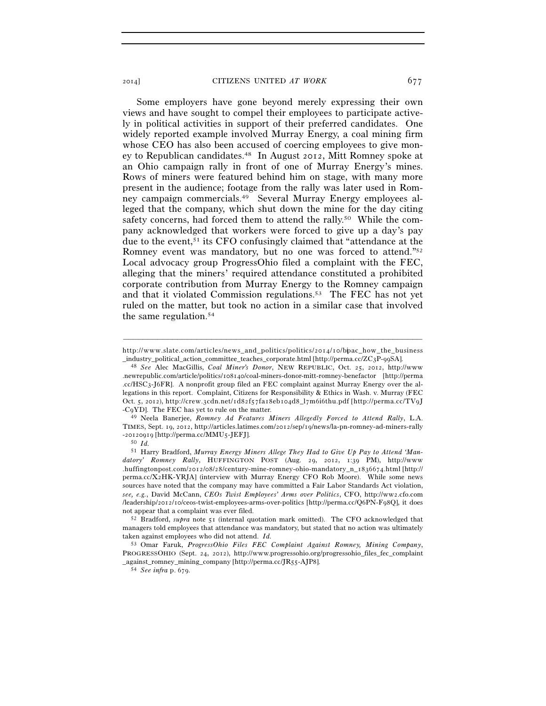2014] CITIZENS UNITED *AT WORK* 677

Some employers have gone beyond merely expressing their own views and have sought to compel their employees to participate actively in political activities in support of their preferred candidates. One widely reported example involved Murray Energy, a coal mining firm whose CEO has also been accused of coercing employees to give money to Republican candidates.48 In August 2012, Mitt Romney spoke at an Ohio campaign rally in front of one of Murray Energy's mines. Rows of miners were featured behind him on stage, with many more present in the audience; footage from the rally was later used in Romney campaign commercials.49 Several Murray Energy employees alleged that the company, which shut down the mine for the day citing safety concerns, had forced them to attend the rally.<sup>50</sup> While the company acknowledged that workers were forced to give up a day's pay due to the event,51 its CFO confusingly claimed that "attendance at the Romney event was mandatory, but no one was forced to attend."52 Local advocacy group ProgressOhio filed a complaint with the FEC, alleging that the miners' required attendance constituted a prohibited corporate contribution from Murray Energy to the Romney campaign and that it violated Commission regulations.53 The FEC has not yet ruled on the matter, but took no action in a similar case that involved the same regulation.54

49 Neela Banerjee, *Romney Ad Features Miners Allegedly Forced to Attend Rally*, L.A. TIMES, Sept. 19, 2012, http://articles.latimes.com/2012/sep/19/news/la-pn-romney-ad-miners-rally -20120919 [http://perma.cc/MMU5-JEFJ]. $^{50}$   $\mathit{Id}.$ 

<sup>–––––––––––––––––––––––––––––––––––––––––––––––––––––––––––––</sup> http://www.slate.com/articles/news\_and\_politics/politics/2014/10/bpac\_how\_the\_business \_industry\_political\_action\_committee\_teaches\_corporate.html [http://perma.cc/ZC3P-99SA]. 48 *See* Alec MacGillis, *Coal Miner's Donor*, NEW REPUBLIC, Oct. 25, 2012, http://www

<sup>.</sup>newrepublic.com/article/politics/108140/coal-miners-donor-mitt-romney-benefactor [http://perma .cc/HSC3-J6FR]. A nonprofit group filed an FEC complaint against Murray Energy over the allegations in this report. Complaint, Citizens for Responsibility & Ethics in Wash. v. Murray (FEC Oct. 5, 2012), http://crew.3cdn.net/1d82f57fa18eb104d8\_l7m6i6thu.pdf [http://perma.cc/TV9J -C9YD]. The FEC has yet to rule on the matter.

<sup>51</sup> Harry Bradford, *Murray Energy Miners Allege They Had to Give Up Pay to Attend 'Mandatory' Romney Rally*, HUFFINGTON POST (Aug. 29, 2012, 1:39 PM), http://www .huffingtonpost.com/2012/08/28/century-mine-romney-ohio-mandatory\_n\_1836674.html [http://  $perma.cc/X<sub>2</sub>HK-YRIA$  (interview with Murray Energy CFO Rob Moore). While some news sources have noted that the company may have committed a Fair Labor Standards Act violation, *see, e.g.*, David McCann, *CEOs Twist Employees' Arms over Politics*, CFO, http://ww2.cfo.com /leadership/2012/10/ceos-twist-employees-arms-over-politics [http://perma.cc/Q6PN-F98Q], it does not appear that a complaint was ever filed. 52 Bradford, *supra* note 51 (internal quotation mark omitted). The CFO acknowledged that

managers told employees that attendance was mandatory, but stated that no action was ultimately taken against employees who did not attend. *Id.*

<sup>53</sup> Omar Faruk, *ProgressOhio Files FEC Complaint Against Romney, Mining Company*, PROGRESSOHIO (Sept. 24, 2012), http://www.progressohio.org/progressohio\_files\_fec\_complaint \_against\_romney\_mining\_company [http://perma.cc/JR55-AJP8]. 54 *See infra* p. 679.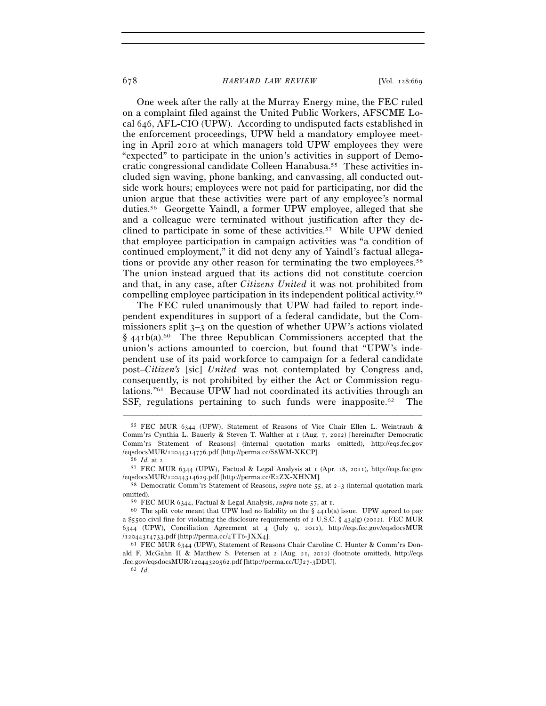#### 678 *HARVARD LAW REVIEW* [Vol. 128:669

One week after the rally at the Murray Energy mine, the FEC ruled on a complaint filed against the United Public Workers, AFSCME Local 646, AFL-CIO (UPW). According to undisputed facts established in the enforcement proceedings, UPW held a mandatory employee meeting in April 2010 at which managers told UPW employees they were "expected" to participate in the union's activities in support of Democratic congressional candidate Colleen Hanabusa.55 These activities included sign waving, phone banking, and canvassing, all conducted outside work hours; employees were not paid for participating, nor did the union argue that these activities were part of any employee's normal duties.56 Georgette Yaindl, a former UPW employee, alleged that she and a colleague were terminated without justification after they declined to participate in some of these activities.57 While UPW denied that employee participation in campaign activities was "a condition of continued employment," it did not deny any of Yaindl's factual allegations or provide any other reason for terminating the two employees.58 The union instead argued that its actions did not constitute coercion and that, in any case, after *Citizens United* it was not prohibited from compelling employee participation in its independent political activity.59

The FEC ruled unanimously that UPW had failed to report independent expenditures in support of a federal candidate, but the Commissioners split  $3-3$  on the question of whether UPW's actions violated  $§$  441b(a).<sup>60</sup> The three Republican Commissioners accepted that the union's actions amounted to coercion, but found that "UPW's independent use of its paid workforce to campaign for a federal candidate post–*Citizen's* [sic] *United* was not contemplated by Congress and, consequently, is not prohibited by either the Act or Commission regulations."61 Because UPW had not coordinated its activities through an SSF, regulations pertaining to such funds were inapposite.<sup>62</sup> The

<sup>55</sup> FEC MUR 6344 (UPW), Statement of Reasons of Vice Chair Ellen L. Weintraub & Comm'rs Cynthia L. Bauerly & Steven T. Walther at 1 (Aug. 7, 2012) [hereinafter Democratic Comm'rs Statement of Reasons] (internal quotation marks omitted), http://eqs.fec.gov<br>/eqsdocsMUR/12044314776.pdf [http://perma.cc/S8WM-XKCP].

<sup>&</sup>lt;sup>56</sup> *Id.* at 2. <sup>112</sup> <sup>112</sup> 112 112 112 112 124 **124**  Idegal Analysis at 1 (Apr. 18, 2011), http://eqs.fec.gov /eqsdocsMUR/12044314629.pdf [http://perma.cc/E2ZX-XHNM]. 58 Democratic Comm'rs Statement of Reasons, *supra* note 55, at 2–3 (internal quotation mark

omitted).<br><sup>59</sup> FEC MUR 6344, Factual & Legal Analysis, *supra* note 57, at 1.

<sup>&</sup>lt;sup>60</sup> The split vote meant that UPW had no liability on the § 441b(a) issue. UPW agreed to pay a \$5500 civil fine for violating the disclosure requirements of 2 U.S.C. § 434(g) (2012). FEC MUR 6344 (UPW), Conciliation Agreement at 4 (July 9, 2012), http://eqs.fec.gov/eqsdocsMUR /12044314733.pdf [http://perma.cc/4TT6-JXX4].<br><sup>61</sup> FEC MUR 6344 (UPW), Statement of Reasons Chair Caroline C. Hunter & Comm'rs Don-

ald F. McGahn II & Matthew S. Petersen at 2 (Aug. 21, 2012) (footnote omitted), http://eqs .fec.gov/eqsdocsMUR/12044320562.pdf [http://perma.cc/UJ27-3DDU]. 62 *Id.*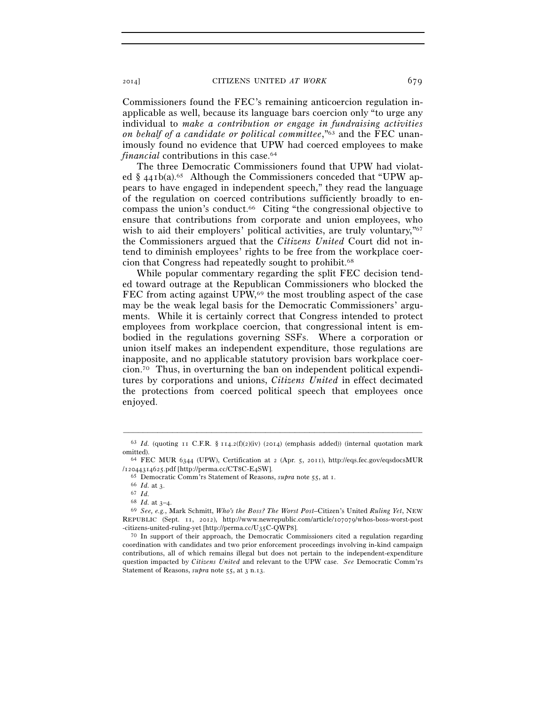2014] CITIZENS UNITED *AT WORK* 679

Commissioners found the FEC's remaining anticoercion regulation inapplicable as well, because its language bars coercion only "to urge any individual to *make a contribution or engage in fundraising activities on behalf of a candidate or political committee*,"63 and the FEC unanimously found no evidence that UPW had coerced employees to make *financial* contributions in this case.<sup>64</sup>

The three Democratic Commissioners found that UPW had violated § 441b(a).<sup>65</sup> Although the Commissioners conceded that "UPW appears to have engaged in independent speech," they read the language of the regulation on coerced contributions sufficiently broadly to encompass the union's conduct.66 Citing "the congressional objective to ensure that contributions from corporate and union employees, who wish to aid their employers' political activities, are truly voluntary,"<sup>67</sup> the Commissioners argued that the *Citizens United* Court did not intend to diminish employees' rights to be free from the workplace coercion that Congress had repeatedly sought to prohibit.68

While popular commentary regarding the split FEC decision tended toward outrage at the Republican Commissioners who blocked the FEC from acting against UPW,<sup>69</sup> the most troubling aspect of the case may be the weak legal basis for the Democratic Commissioners' arguments. While it is certainly correct that Congress intended to protect employees from workplace coercion, that congressional intent is embodied in the regulations governing SSFs. Where a corporation or union itself makes an independent expenditure, those regulations are inapposite, and no applicable statutory provision bars workplace coercion.70 Thus, in overturning the ban on independent political expenditures by corporations and unions, *Citizens United* in effect decimated the protections from coerced political speech that employees once enjoyed.

<sup>–––––––––––––––––––––––––––––––––––––––––––––––––––––––––––––</sup> 63 *Id.* (quoting 11 C.F.R. § 114.2(f)(2)(iv) (2014) (emphasis added)) (internal quotation mark

<sup>%</sup> omitted). 64 FEC MUR 6344 (UPW), Certification at 2 (Apr. 5, 2011), http://eqs.fec.gov/eqsdocsMUR /12044314625.pdf [http://perma.cc/CT8C-E4SW].

<sup>&</sup>lt;sup>65</sup> Democratic Comm'rs Statement of Reasons, *supra* note 55, at 1. <sup>66</sup> *Id.* at 3. <sup>67</sup> *Id.* <sup>68</sup> *Id.* at 3-4.

<sup>68</sup> *Id.* at 3–4. 69 *See, e.g.*, Mark Schmitt, *Who's the Boss? The Worst Post–*Citizen's United *Ruling Yet*, NEW REPUBLIC (Sept. 11, 2012), http://www.newrepublic.com/article/107079/whos-boss-worst-post<br>-citizens-united-ruling-yet [http://perma.cc/U35C-QWP8].

 $70$  In support of their approach, the Democratic Commissioners cited a regulation regarding coordination with candidates and two prior enforcement proceedings involving in-kind campaign contributions, all of which remains illegal but does not pertain to the independent-expenditure question impacted by *Citizens United* and relevant to the UPW case. *See* Democratic Comm'rs Statement of Reasons, *supra* note 55, at 3 n.13.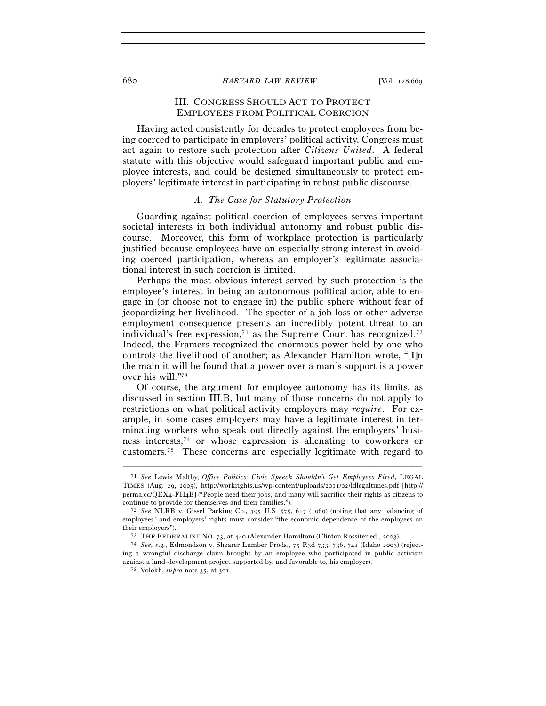# III. CONGRESS SHOULD ACT TO PROTECT EMPLOYEES FROM POLITICAL COERCION

Having acted consistently for decades to protect employees from being coerced to participate in employers' political activity, Congress must act again to restore such protection after *Citizens United*. A federal statute with this objective would safeguard important public and employee interests, and could be designed simultaneously to protect employers' legitimate interest in participating in robust public discourse.

## *A. The Case for Statutory Protection*

Guarding against political coercion of employees serves important societal interests in both individual autonomy and robust public discourse. Moreover, this form of workplace protection is particularly justified because employees have an especially strong interest in avoiding coerced participation, whereas an employer's legitimate associational interest in such coercion is limited.

Perhaps the most obvious interest served by such protection is the employee's interest in being an autonomous political actor, able to engage in (or choose not to engage in) the public sphere without fear of jeopardizing her livelihood. The specter of a job loss or other adverse employment consequence presents an incredibly potent threat to an individual's free expression, $71$  as the Supreme Court has recognized. $72$ Indeed, the Framers recognized the enormous power held by one who controls the livelihood of another; as Alexander Hamilton wrote, "[I]n the main it will be found that a power over a man's support is a power over his will."73

Of course, the argument for employee autonomy has its limits, as discussed in section III.B, but many of those concerns do not apply to restrictions on what political activity employers may *require*. For example, in some cases employers may have a legitimate interest in terminating workers who speak out directly against the employers' business interests,74 or whose expression is alienating to coworkers or customers.75 These concerns are especially legitimate with regard to

<sup>71</sup> *See* Lewis Maltby, *Office Politics: Civic Speech Shouldn't Get Employees Fired*, LEGAL TIMES (Aug. 29, 2005), http://workrights.us/wp-content/uploads/2011/02/ldlegaltimes.pdf [http:// perma.cc/QEX4-FH4B] ("People need their jobs, and many will sacrifice their rights as citizens to continue to provide for themselves and their families."). 72 *See* NLRB v. Gissel Packing Co., 395 U.S. 575, 617 (1969) (noting that any balancing of

employees' and employers' rights must consider "the economic dependence of the employees on their employers")

<sup>&</sup>lt;sup>73</sup> THE FEDERALIST NO. 73, at 440 (Alexander Hamilton) (Clinton Rossiter ed., 2003). <sup>74</sup> *See, e.g.*, Edmondson v. Shearer Lumber Prods., 75 P.3d 733, 736, 741 (Idaho 2003) (rejecting a wrongful discharge claim brought by an employee who participated in public activism against a land-development project supported by, and favorable to, his employer). 75 Volokh, *supra* note 35, at 301.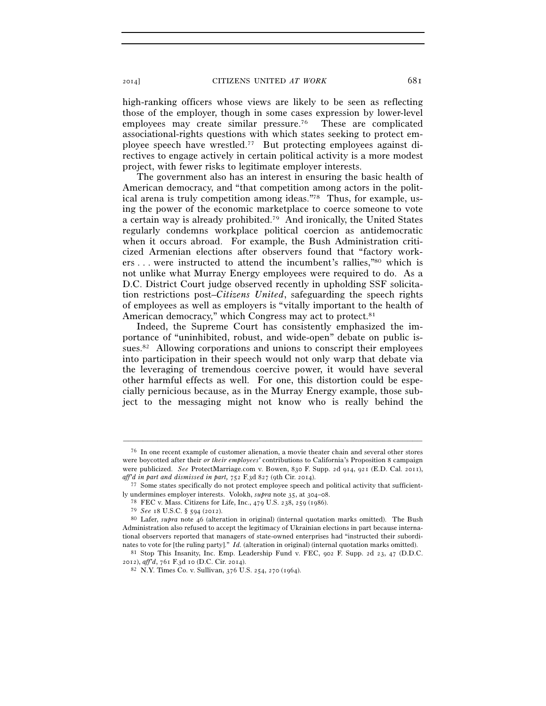2014] CITIZENS UNITED *AT WORK* 681

high-ranking officers whose views are likely to be seen as reflecting those of the employer, though in some cases expression by lower-level employees may create similar pressure.<sup>76</sup> These are complicated associational-rights questions with which states seeking to protect employee speech have wrestled.77 But protecting employees against directives to engage actively in certain political activity is a more modest project, with fewer risks to legitimate employer interests.

The government also has an interest in ensuring the basic health of American democracy, and "that competition among actors in the political arena is truly competition among ideas."78 Thus, for example, using the power of the economic marketplace to coerce someone to vote a certain way is already prohibited.79 And ironically, the United States regularly condemns workplace political coercion as antidemocratic when it occurs abroad. For example, the Bush Administration criticized Armenian elections after observers found that "factory workers . . . were instructed to attend the incumbent's rallies,"80 which is not unlike what Murray Energy employees were required to do. As a D.C. District Court judge observed recently in upholding SSF solicitation restrictions post–*Citizens United*, safeguarding the speech rights of employees as well as employers is "vitally important to the health of American democracy," which Congress may act to protect.<sup>81</sup>

Indeed, the Supreme Court has consistently emphasized the importance of "uninhibited, robust, and wide-open" debate on public issues.82 Allowing corporations and unions to conscript their employees into participation in their speech would not only warp that debate via the leveraging of tremendous coercive power, it would have several other harmful effects as well. For one, this distortion could be especially pernicious because, as in the Murray Energy example, those subject to the messaging might not know who is really behind the

<sup>76</sup> In one recent example of customer alienation, a movie theater chain and several other stores were boycotted after their *or their employees'* contributions to California's Proposition 8 campaign were publicized. *See* ProtectMarriage.com v. Bowen, 830 F. Supp. 2d 914, 921 (E.D. Cal. 2011), *aff'd in part and dismissed in part,* 752 F.3d 827 (9th Cir. 2014).<br><sup>77</sup> Some states specifically do not protect employee speech and political activity that sufficient-

ly undermines employer interests. Volokh, *supra* note 35, at 304–08.<br><sup>78</sup> FEC v. Mass. Citizens for Life, Inc., 479 U.S. 238, 259 (1986).<br><sup>79</sup> *See* 18 U.S.C. § 594 (2012).

<sup>&</sup>lt;sup>80</sup> Lafer, *supra* note 46 (alteration in original) (internal quotation marks omitted). The Bush Administration also refused to accept the legitimacy of Ukrainian elections in part because international observers reported that managers of state-owned enterprises had "instructed their subordinates to vote for [the ruling party]." *Id.* (alteration in original) (internal quotation marks omitted). <sup>81</sup> Stop This Insanity, Inc. Emp. Leadership Fund v. FEC, 902 F. Supp. 2d 23, 47 (D.D.C.

<sup>2012</sup>), *aff'd*, 761 F.3d 10 (D.C. Cir. 2014). 82 N.Y. Times Co. v. Sullivan, 376 U.S. 254, 270 (1964).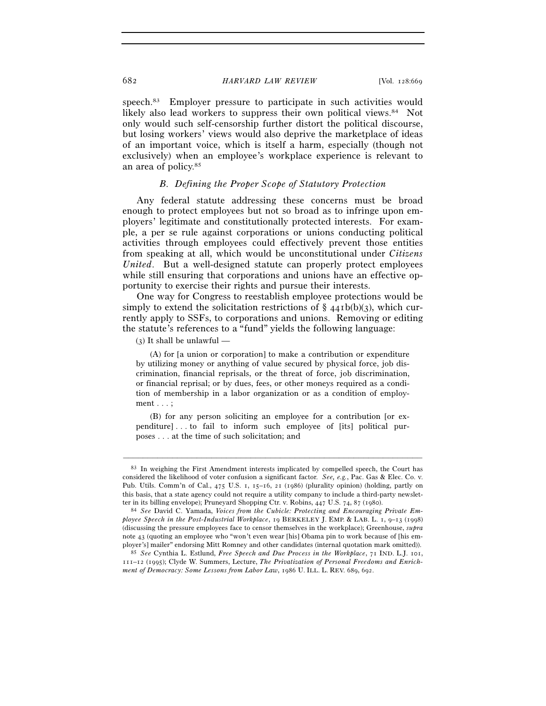### 682 *HARVARD LAW REVIEW* [Vol. 128:669

speech.<sup>83</sup> Employer pressure to participate in such activities would likely also lead workers to suppress their own political views.<sup>84</sup> Not only would such self-censorship further distort the political discourse, but losing workers' views would also deprive the marketplace of ideas of an important voice, which is itself a harm, especially (though not exclusively) when an employee's workplace experience is relevant to an area of policy.85

## *B. Defining the Proper Scope of Statutory Protection*

Any federal statute addressing these concerns must be broad enough to protect employees but not so broad as to infringe upon employers' legitimate and constitutionally protected interests. For example, a per se rule against corporations or unions conducting political activities through employees could effectively prevent those entities from speaking at all, which would be unconstitutional under *Citizens United*. But a well-designed statute can properly protect employees while still ensuring that corporations and unions have an effective opportunity to exercise their rights and pursue their interests.

One way for Congress to reestablish employee protections would be simply to extend the solicitation restrictions of  $\S$  441b(b)(3), which currently apply to SSFs, to corporations and unions. Removing or editing the statute's references to a "fund" yields the following language:

 $(3)$  It shall be unlawful —

 (A) for [a union or corporation] to make a contribution or expenditure by utilizing money or anything of value secured by physical force, job discrimination, financial reprisals, or the threat of force, job discrimination, or financial reprisal; or by dues, fees, or other moneys required as a condition of membership in a labor organization or as a condition of employment . . . ;

 (B) for any person soliciting an employee for a contribution [or expenditure] . . . to fail to inform such employee of [its] political purposes . . . at the time of such solicitation; and

<sup>83</sup> In weighing the First Amendment interests implicated by compelled speech, the Court has considered the likelihood of voter confusion a significant factor. *See, e.g.*, Pac. Gas & Elec. Co. v. Pub. Utils. Comm'n of Cal., 475 U.S. 1, 15–16, 21 (1986) (plurality opinion) (holding, partly on this basis, that a state agency could not require a utility company to include a third-party newsletter in its billing envelope); Pruneyard Shopping Ctr. v. Robins, 447 U.S. 74, 87 (1980). 84 *See* David C. Yamada, *Voices from the Cubicle: Protecting and Encouraging Private Em-*

*ployee Speech in the Post-Industrial Workplace*, 19 BERKELEY J. EMP. & LAB. L. 1, 9–13 (1998) (discussing the pressure employees face to censor themselves in the workplace); Greenhouse, *supra* note 43 (quoting an employee who "won't even wear [his] Obama pin to work because of [his employer's] mailer" endorsing Mitt Romney and other candidates (internal quotation mark omitted)). 85 *See* Cynthia L. Estlund, *Free Speech and Due Process in the Workplace*, 71 IND. L.J. 101,

<sup>111</sup>–12 (1995); Clyde W. Summers, Lecture, *The Privatization of Personal Freedoms and Enrichment of Democracy: Some Lessons from Labor Law*, 1986 U. ILL. L. REV. 689, 692.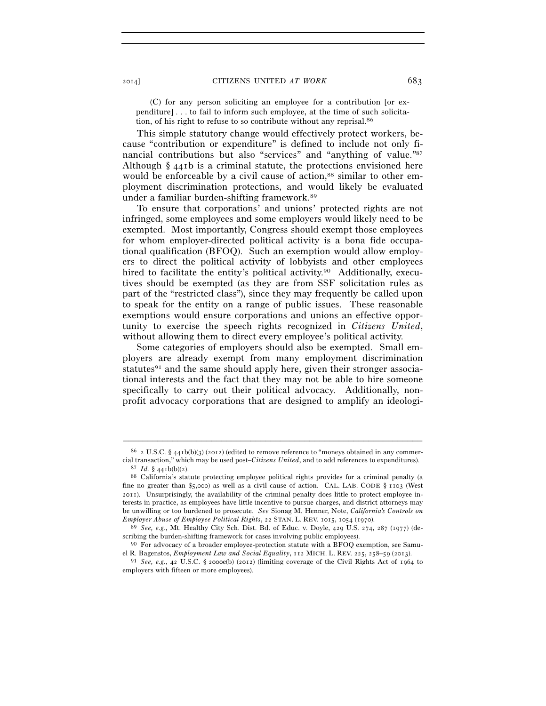(C) for any person soliciting an employee for a contribution [or expenditure] . . . to fail to inform such employee, at the time of such solicitation, of his right to refuse to so contribute without any reprisal.86

This simple statutory change would effectively protect workers, because "contribution or expenditure" is defined to include not only financial contributions but also "services" and "anything of value."87 Although § 441b is a criminal statute, the protections envisioned here would be enforceable by a civil cause of action,<sup>88</sup> similar to other employment discrimination protections, and would likely be evaluated under a familiar burden-shifting framework.89

To ensure that corporations' and unions' protected rights are not infringed, some employees and some employers would likely need to be exempted. Most importantly, Congress should exempt those employees for whom employer-directed political activity is a bona fide occupational qualification (BFOQ). Such an exemption would allow employers to direct the political activity of lobbyists and other employees hired to facilitate the entity's political activity.<sup>90</sup> Additionally, executives should be exempted (as they are from SSF solicitation rules as part of the "restricted class"), since they may frequently be called upon to speak for the entity on a range of public issues. These reasonable exemptions would ensure corporations and unions an effective opportunity to exercise the speech rights recognized in *Citizens United*, without allowing them to direct every employee's political activity.

Some categories of employers should also be exempted. Small employers are already exempt from many employment discrimination statutes<sup>91</sup> and the same should apply here, given their stronger associational interests and the fact that they may not be able to hire someone specifically to carry out their political advocacy. Additionally, nonprofit advocacy corporations that are designed to amplify an ideologi-

<sup>–––––––––––––––––––––––––––––––––––––––––––––––––––––––––––––</sup>  $86\text{ }2 \text{ U.S.C. }$  § 441b(b)(3) (2012) (edited to remove reference to "moneys obtained in any commercial transaction," which may be used post–*Citizens United*, and to add references to expenditures).<br><sup>87</sup> *Id.* § 441b(b)(2).<br><sup>88</sup> California's statute protecting employee political rights provides for a criminal penalty

fine no greater than \$5,000) as well as a civil cause of action. CAL. LAB. CODE § 1103 (West 2011). Unsurprisingly, the availability of the criminal penalty does little to protect employee interests in practice, as employees have little incentive to pursue charges, and district attorneys may be unwilling or too burdened to prosecute. *See* Sionag M. Henner, Note, *California's Controls on* 

*Employer Abuse of Employee Political Rights*, 22 STAN. L. REV. 1015, 1054 (1970). 89 *See, e.g.*, Mt. Healthy City Sch. Dist. Bd. of Educ. v. Doyle, 429 U.S. 274, 287 (1977) (de-

scribing the burden-shifting framework for cases involving public employees).<br><sup>90</sup> For advocacy of a broader employee-protection statute with a BFOQ exemption, see Samu-<br>el R. Bagenstos, *Employment Law and Social Equalit* 

<sup>&</sup>lt;sup>91</sup> See, e.g., 42 U.S.C. § 2000e(b) (2012) (limiting coverage of the Civil Rights Act of 1964 to employers with fifteen or more employees).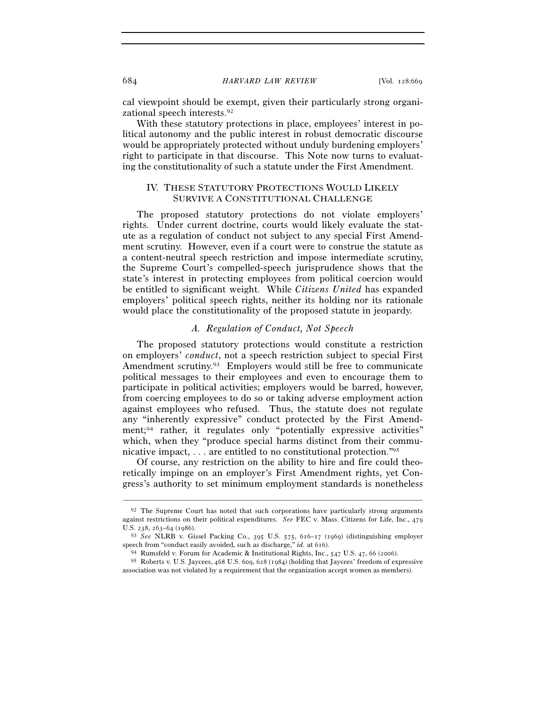cal viewpoint should be exempt, given their particularly strong organizational speech interests.92

With these statutory protections in place, employees' interest in political autonomy and the public interest in robust democratic discourse would be appropriately protected without unduly burdening employers' right to participate in that discourse. This Note now turns to evaluating the constitutionality of such a statute under the First Amendment.

## IV. THESE STATUTORY PROTECTIONS WOULD LIKELY SURVIVE A CONSTITUTIONAL CHALLENGE

The proposed statutory protections do not violate employers' rights. Under current doctrine, courts would likely evaluate the statute as a regulation of conduct not subject to any special First Amendment scrutiny. However, even if a court were to construe the statute as a content-neutral speech restriction and impose intermediate scrutiny, the Supreme Court's compelled-speech jurisprudence shows that the state's interest in protecting employees from political coercion would be entitled to significant weight. While *Citizens United* has expanded employers' political speech rights, neither its holding nor its rationale would place the constitutionality of the proposed statute in jeopardy.

#### *A. Regulation of Conduct, Not Speech*

The proposed statutory protections would constitute a restriction on employers' *conduct*, not a speech restriction subject to special First Amendment scrutiny.<sup>93</sup> Employers would still be free to communicate political messages to their employees and even to encourage them to participate in political activities; employers would be barred, however, from coercing employees to do so or taking adverse employment action against employees who refused. Thus, the statute does not regulate any "inherently expressive" conduct protected by the First Amendment;<sup>94</sup> rather, it regulates only "potentially expressive activities" which, when they "produce special harms distinct from their communicative impact, . . . are entitled to no constitutional protection."95

Of course, any restriction on the ability to hire and fire could theoretically impinge on an employer's First Amendment rights, yet Congress's authority to set minimum employment standards is nonetheless

<sup>92</sup> The Supreme Court has noted that such corporations have particularly strong arguments against restrictions on their political expenditures. *See* FEC v. Mass. Citizens for Life, Inc., 479 U.S. 238, 263–64 (1986).

U.S. 238, 263–64 (1986). 93 *See* NLRB v. Gissel Packing Co., 395 U.S. 575, 616–17 (1969) (distinguishing employer speech from "conduct easily avoided, such as discharge," *id.* at 616).<br><sup>94</sup> Rumsfeld v. Forum for Academic & Institutional Rights, Inc., 547 U.S. 47, 66 (2006).

<sup>95</sup> Roberts v. U.S. Jaycees, 468 U.S. 609, 628 (1984) (holding that Jaycees' freedom of expressive association was not violated by a requirement that the organization accept women as members).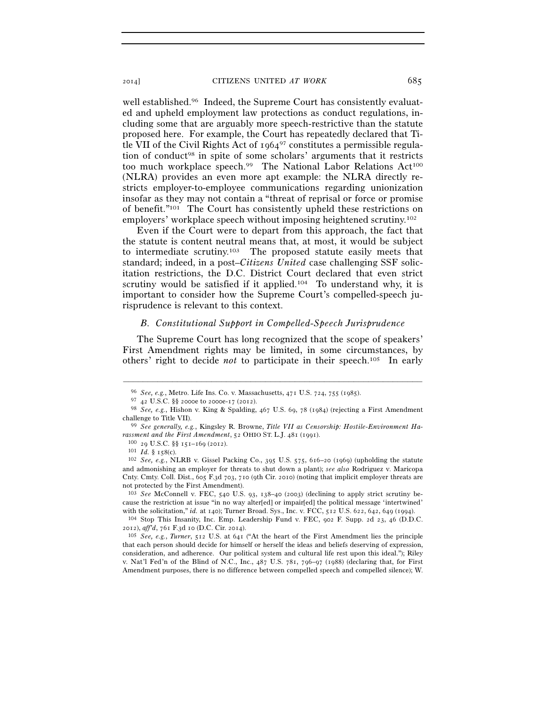well established.<sup>96</sup> Indeed, the Supreme Court has consistently evaluated and upheld employment law protections as conduct regulations, including some that are arguably more speech-restrictive than the statute proposed here. For example, the Court has repeatedly declared that Title VII of the Civil Rights Act of 196497 constitutes a permissible regulation of conduct98 in spite of some scholars' arguments that it restricts too much workplace speech.<sup>99</sup> The National Labor Relations Act<sup>100</sup> (NLRA) provides an even more apt example: the NLRA directly restricts employer-to-employee communications regarding unionization insofar as they may not contain a "threat of reprisal or force or promise of benefit."101 The Court has consistently upheld these restrictions on employers' workplace speech without imposing heightened scrutiny.102

Even if the Court were to depart from this approach, the fact that the statute is content neutral means that, at most, it would be subject to intermediate scrutiny.103 The proposed statute easily meets that standard; indeed, in a post–*Citizens United* case challenging SSF solicitation restrictions, the D.C. District Court declared that even strict scrutiny would be satisfied if it applied.<sup>104</sup> To understand why, it is important to consider how the Supreme Court's compelled-speech jurisprudence is relevant to this context.

## *B. Constitutional Support in Compelled-Speech Jurisprudence*

The Supreme Court has long recognized that the scope of speakers' First Amendment rights may be limited, in some circumstances, by others' right to decide *not* to participate in their speech.105 In early

–––––––––––––––––––––––––––––––––––––––––––––––––––––––––––––

103 *See* McConnell v. FEC, 540 U.S. 93, 138–40 (2003) (declining to apply strict scrutiny because the restriction at issue "in no way alter[ed] or impair[ed] the political message 'intertwined' with the solicitation," *id.* at 140); Turner Broad. Sys., Inc. v. FCC, 512 U.S. 622, 642, 649 (1994).

<sup>104</sup> Stop This Insanity, Inc. Emp. Leadership Fund v. FEC, 902 F. Supp. 2d 23, 46 (D.D.C. <sup>2012</sup>), *aff'd*, 761 F.3d 10 (D.C. Cir. 2014). 105 *See, e.g.*, *Turner*, 512 U.S. at 641 ("At the heart of the First Amendment lies the principle

that each person should decide for himself or herself the ideas and beliefs deserving of expression, consideration, and adherence. Our political system and cultural life rest upon this ideal."); Riley v. Nat'l Fed'n of the Blind of N.C., Inc., 487 U.S. 781, 796–97 (1988) (declaring that, for First Amendment purposes, there is no difference between compelled speech and compelled silence); W.

<sup>96</sup> *See, e.g.*, Metro. Life Ins. Co. v. Massachusetts, 471 U.S. 724, 755 (1985).

<sup>&</sup>lt;sup>98</sup> See, e.g., Hishon v. King & Spalding, 467 U.S. 69, 78 (1984) (rejecting a First Amendment challenge to Title VII). 99 *See generally, e.g.*, Kingsley R. Browne, *Title VII as Censorship: Hostile-Environment Ha-*

*rassment and the First Amendment*, 52 OHIO ST. L.J. 481 (1991).<br><sup>100</sup> 29 U.S.C. §§ 151–169 (2012).<br><sup>101</sup> *Id*. § 158(c).<br><sup>102</sup> *See, e.g.*, NLRB v. Gissel Packing Co., 395 U.S. 575, 616–20 (1969) (upholding the statute

and admonishing an employer for threats to shut down a plant); *see also* Rodriguez v. Maricopa Cnty. Cmty. Coll. Dist., 605 F.3d 703, 710 (9th Cir. 2010) (noting that implicit employer threats are not protected by the First Amendment).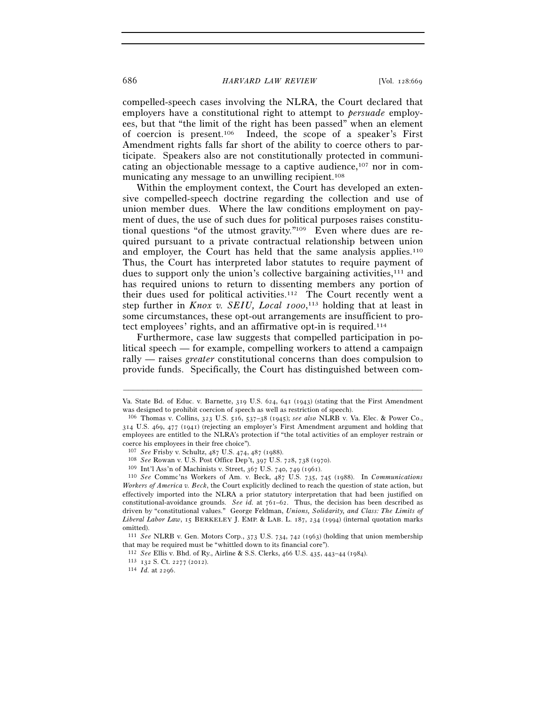## 686 *HARVARD LAW REVIEW* [Vol. 128:669

compelled-speech cases involving the NLRA, the Court declared that employers have a constitutional right to attempt to *persuade* employees, but that "the limit of the right has been passed" when an element of coercion is present.106 Indeed, the scope of a speaker's First Amendment rights falls far short of the ability to coerce others to participate. Speakers also are not constitutionally protected in communicating an objectionable message to a captive audience,<sup>107</sup> nor in communicating any message to an unwilling recipient.<sup>108</sup>

Within the employment context, the Court has developed an extensive compelled-speech doctrine regarding the collection and use of union member dues. Where the law conditions employment on payment of dues, the use of such dues for political purposes raises constitutional questions "of the utmost gravity."109 Even where dues are required pursuant to a private contractual relationship between union and employer, the Court has held that the same analysis applies.<sup>110</sup> Thus, the Court has interpreted labor statutes to require payment of dues to support only the union's collective bargaining activities,  $111$  and has required unions to return to dissenting members any portion of their dues used for political activities.112 The Court recently went a step further in *Knox v. SEIU, Local 1000*, 113 holding that at least in some circumstances, these opt-out arrangements are insufficient to protect employees' rights, and an affirmative opt-in is required.114

Furthermore, case law suggests that compelled participation in political speech — for example, compelling workers to attend a campaign rally — raises *greater* constitutional concerns than does compulsion to provide funds. Specifically, the Court has distinguished between com-

<sup>–––––––––––––––––––––––––––––––––––––––––––––––––––––––––––––</sup> Va. State Bd. of Educ. v. Barnette, 319 U.S. 624, 641 (1943) (stating that the First Amendment was designed to prohibit coercion of speech as well as restriction of speech).

<sup>106</sup> Thomas v. Collins, 323 U.S. 516, 537–38 (1945); *see also* NLRB v. Va. Elec. & Power Co., 314 U.S. 469, 477 (1941) (rejecting an employer's First Amendment argument and holding that employees are entitled to the NLRA's protection if "the total activities of an employer restrain or coerce his employees in their free choice").

<sup>&</sup>lt;sup>107</sup> See Frisby v. Schultz, 487 U.S. 474, 487 (1988).<br>
<sup>108</sup> See Rowan v. U.S. Post Office Dep't, 397 U.S. 728, 738 (1970).<br>
<sup>109</sup> Int'l Ass'n of Machinists v. Street, 367 U.S. 740, 749 (1961).<br>
<sup>109</sup> See Commc'ns Worker *Workers of America v. Beck*, the Court explicitly declined to reach the question of state action, but effectively imported into the NLRA a prior statutory interpretation that had been justified on constitutional-avoidance grounds. *See id.* at 761–62. Thus, the decision has been described as driven by "constitutional values." George Feldman, *Unions, Solidarity, and Class: The Limits of Liberal Labor Law*, 15 BERKELEY J. EMP. & LAB. L. 187, 234 (1994) (internal quotation marks omitted).

<sup>111</sup> *See* NLRB v. Gen. Motors Corp., 373 U.S. 734, 742 (1963) (holding that union membership that may be required must be "whittled down to its financial core").<br><sup>112</sup> *See* Ellis v. Bhd. of Ry., Airline & S.S. Clerks, 466 U.S. 435, 443–44 (1984).<br><sup>113</sup> 132 S. Ct. 2277 (2012).<br><sup>114</sup> *Id.* at 2296.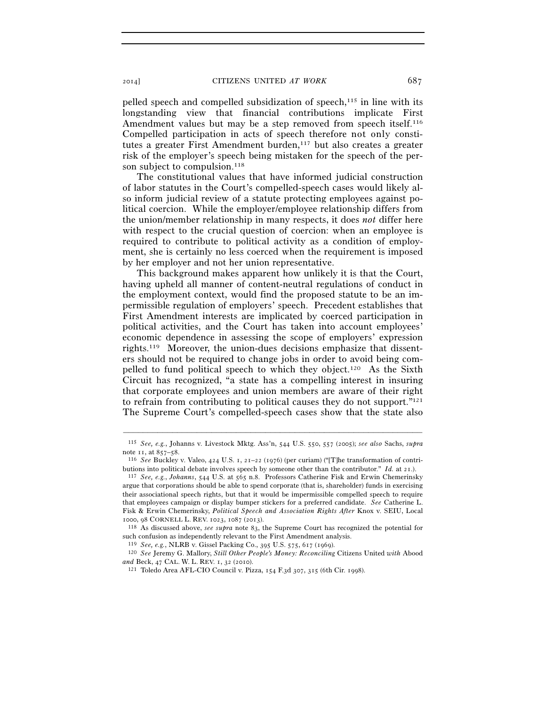pelled speech and compelled subsidization of speech,<sup>115</sup> in line with its longstanding view that financial contributions implicate First Amendment values but may be a step removed from speech itself.<sup>116</sup> Compelled participation in acts of speech therefore not only constitutes a greater First Amendment burden,<sup>117</sup> but also creates a greater risk of the employer's speech being mistaken for the speech of the person subject to compulsion.<sup>118</sup>

The constitutional values that have informed judicial construction of labor statutes in the Court's compelled-speech cases would likely also inform judicial review of a statute protecting employees against political coercion. While the employer/employee relationship differs from the union/member relationship in many respects, it does *not* differ here with respect to the crucial question of coercion: when an employee is required to contribute to political activity as a condition of employment, she is certainly no less coerced when the requirement is imposed by her employer and not her union representative.

This background makes apparent how unlikely it is that the Court, having upheld all manner of content-neutral regulations of conduct in the employment context, would find the proposed statute to be an impermissible regulation of employers' speech. Precedent establishes that First Amendment interests are implicated by coerced participation in political activities, and the Court has taken into account employees' economic dependence in assessing the scope of employers' expression rights.119 Moreover, the union-dues decisions emphasize that dissenters should not be required to change jobs in order to avoid being compelled to fund political speech to which they object.<sup>120</sup> As the Sixth Circuit has recognized, "a state has a compelling interest in insuring that corporate employees and union members are aware of their right to refrain from contributing to political causes they do not support."121 The Supreme Court's compelled-speech cases show that the state also

<sup>–––––––––––––––––––––––––––––––––––––––––––––––––––––––––––––</sup> 115 *See, e.g.*, Johanns v. Livestock Mktg. Ass'n, 544 U.S. 550, 557 (2005); *see also* Sachs, *supra* note 11, at 857–58. 116 *See* Buckley v. Valeo, 424 U.S. 1, 21–22 (1976) (per curiam) ("[T]he transformation of contri-

butions into political debate involves speech by someone other than the contributor." *Id.* at 21.). 117 *See, e.g.*, *Johanns*, 544 U.S. at 565 n.8. Professors Catherine Fisk and Erwin Chemerinsky

argue that corporations should be able to spend corporate (that is, shareholder) funds in exercising their associational speech rights, but that it would be impermissible compelled speech to require that employees campaign or display bumper stickers for a preferred candidate. *See* Catherine L. Fisk & Erwin Chemerinsky, *Political Speech and Association Rights After* Knox v. SEIU, Local <sup>1000</sup>, 98 CORNELL L. REV. <sup>1023</sup>, 1087 (2013). 118 As discussed above, *see supra* note 83, the Supreme Court has recognized the potential for

such confusion as independently relevant to the First Amendment analysis.

<sup>119</sup> *See, e.g.*, NLRB v. Gissel Packing Co., 395 U.S. 575, 617 (1969). 120 *See* Jeremy G. Mallory, *Still Other People's Money: Reconciling* Citizens United *with* Abood *and* Beck, 47 CAL. W. L. REV. 1, 32 (2010). 121 Toledo Area AFL-CIO Council v. Pizza, 154 F.3d 307, 315 (6th Cir. 1998).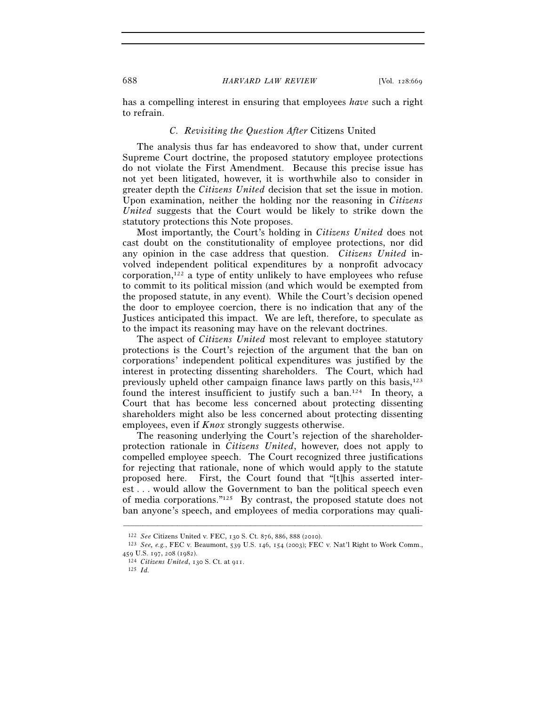has a compelling interest in ensuring that employees *have* such a right to refrain.

#### *C. Revisiting the Question After* Citizens United

The analysis thus far has endeavored to show that, under current Supreme Court doctrine, the proposed statutory employee protections do not violate the First Amendment. Because this precise issue has not yet been litigated, however, it is worthwhile also to consider in greater depth the *Citizens United* decision that set the issue in motion. Upon examination, neither the holding nor the reasoning in *Citizens United* suggests that the Court would be likely to strike down the statutory protections this Note proposes.

Most importantly, the Court's holding in *Citizens United* does not cast doubt on the constitutionality of employee protections, nor did any opinion in the case address that question. *Citizens United* involved independent political expenditures by a nonprofit advocacy corporation,122 a type of entity unlikely to have employees who refuse to commit to its political mission (and which would be exempted from the proposed statute, in any event). While the Court's decision opened the door to employee coercion, there is no indication that any of the Justices anticipated this impact. We are left, therefore, to speculate as to the impact its reasoning may have on the relevant doctrines.

The aspect of *Citizens United* most relevant to employee statutory protections is the Court's rejection of the argument that the ban on corporations' independent political expenditures was justified by the interest in protecting dissenting shareholders. The Court, which had previously upheld other campaign finance laws partly on this basis,<sup>123</sup> found the interest insufficient to justify such a ban.<sup>124</sup> In theory, a Court that has become less concerned about protecting dissenting shareholders might also be less concerned about protecting dissenting employees, even if *Knox* strongly suggests otherwise.

The reasoning underlying the Court's rejection of the shareholderprotection rationale in *Citizens United*, however, does not apply to compelled employee speech. The Court recognized three justifications for rejecting that rationale, none of which would apply to the statute proposed here. First, the Court found that "[t]his asserted interest . . . would allow the Government to ban the political speech even of media corporations."125 By contrast, the proposed statute does not ban anyone's speech, and employees of media corporations may quali-

<sup>122</sup> *See* Citizens United v. FEC, 130 S. Ct. 876, 886, 888 (2010). 123 *See, e.g.*, FEC v. Beaumont, 539 U.S. 146, 154 (2003); FEC v. Nat'l Right to Work Comm.,

<sup>124</sup> Citizens United, 130 S. Ct. at 911.<br>125 *Id.*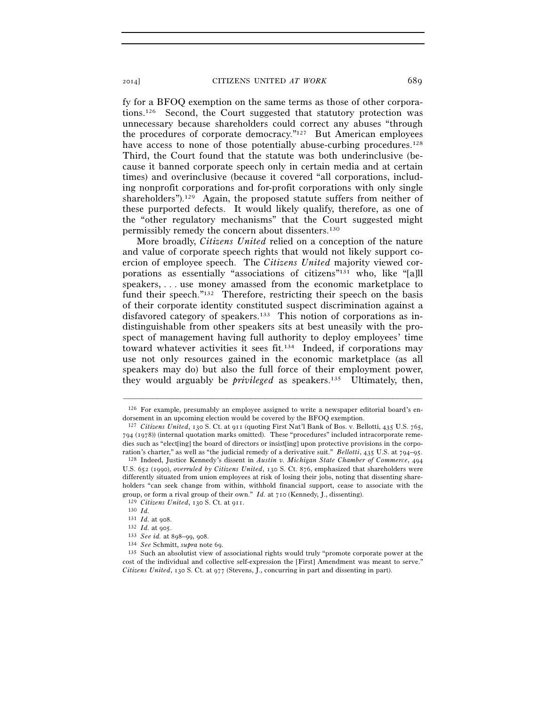fy for a BFOQ exemption on the same terms as those of other corporations.126 Second, the Court suggested that statutory protection was unnecessary because shareholders could correct any abuses "through the procedures of corporate democracy."127 But American employees have access to none of those potentially abuse-curbing procedures.<sup>128</sup> Third, the Court found that the statute was both underinclusive (because it banned corporate speech only in certain media and at certain times) and overinclusive (because it covered "all corporations, including nonprofit corporations and for-profit corporations with only single shareholders").<sup>129</sup> Again, the proposed statute suffers from neither of these purported defects. It would likely qualify, therefore, as one of the "other regulatory mechanisms" that the Court suggested might permissibly remedy the concern about dissenters.130

More broadly, *Citizens United* relied on a conception of the nature and value of corporate speech rights that would not likely support coercion of employee speech. The *Citizens United* majority viewed corporations as essentially "associations of citizens"131 who, like "[a]ll speakers, . . . use money amassed from the economic marketplace to fund their speech."<sup>132</sup> Therefore, restricting their speech on the basis of their corporate identity constituted suspect discrimination against a disfavored category of speakers.<sup>133</sup> This notion of corporations as indistinguishable from other speakers sits at best uneasily with the prospect of management having full authority to deploy employees' time toward whatever activities it sees fit.134 Indeed, if corporations may use not only resources gained in the economic marketplace (as all speakers may do) but also the full force of their employment power, they would arguably be *privileged* as speakers.135 Ultimately, then,

<sup>–––––––––––––––––––––––––––––––––––––––––––––––––––––––––––––</sup> 126 For example, presumably an employee assigned to write a newspaper editorial board's endorsement in an upcoming election would be covered by the BFOQ exemption. 127 *Citizens United*, 130 S. Ct. at 911 (quoting First Nat'l Bank of Bos. v. Bellotti, 435 U.S. 765,

<sup>794</sup> (1978)) (internal quotation marks omitted). These "procedures" included intracorporate remedies such as "elect[ing] the board of directors or insist[ing] upon protective provisions in the corporation's charter," as well as "the judicial remedy of a derivative suit." *Bellotti*, 435 U.S. at 794–95.

<sup>128</sup> Indeed, Justice Kennedy's dissent in *Austin v. Michigan State Chamber of Commerce*, 494 U.S. 652 (1990), *overruled by Citizens United*, 130 S. Ct. 876, emphasized that shareholders were differently situated from union employees at risk of losing their jobs, noting that dissenting shareholders "can seek change from within, withhold financial support, cease to associate with the group, or form a rival group of their own." *Id.* at 710 (Kennedy, J., dissenting).<br><sup>129</sup> *Citizens United*, 130 S. Ct. at 911.<br><sup>130</sup> *Id.*<br><sup>131</sup> *Id.* at 908.

<sup>&</sup>lt;sup>132</sup> *Id.* at 905.<br>
<sup>133</sup> *See id.* at 898–99, 908.<br>
<sup>134</sup> *See* Schmitt, *supra* note 69.<br>
<sup>134</sup> Such an absolutist view of associational rights would truly "promote corporate power at the cost of the individual and collective self-expression the [First] Amendment was meant to serve." *Citizens United*, 130 S. Ct. at 977 (Stevens, J., concurring in part and dissenting in part).